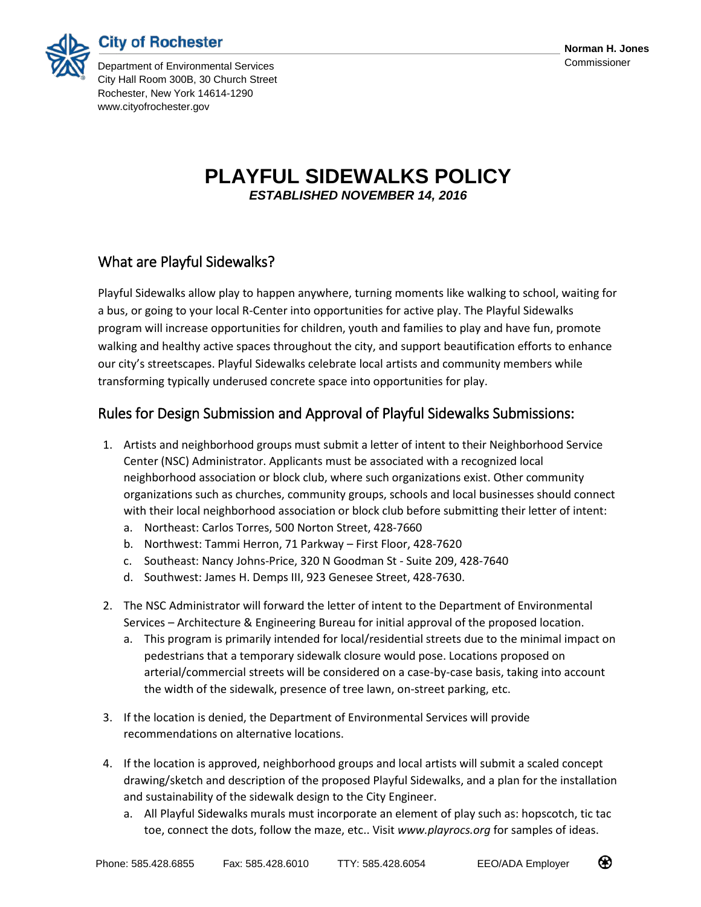



Department of Environmental Services Commissioner City Hall Room 300B, 30 Church Street Rochester, New York 14614-1290 www.cityofrochester.gov

## **PLAYFUL SIDEWALKS POLICY** *ESTABLISHED NOVEMBER 14, 2016*

## What are Playful Sidewalks?

Playful Sidewalks allow play to happen anywhere, turning moments like walking to school, waiting for a bus, or going to your local R-Center into opportunities for active play. The Playful Sidewalks program will increase opportunities for children, youth and families to play and have fun, promote walking and healthy active spaces throughout the city, and support beautification efforts to enhance our city's streetscapes. Playful Sidewalks celebrate local artists and community members while transforming typically underused concrete space into opportunities for play.

## Rules for Design Submission and Approval of Playful Sidewalks Submissions:

- 1. Artists and neighborhood groups must submit a letter of intent to their Neighborhood Service Center (NSC) Administrator. Applicants must be associated with a recognized local neighborhood association or block club, where such organizations exist. Other community organizations such as churches, community groups, schools and local businesses should connect with their local neighborhood association or block club before submitting their letter of intent:
	- a. Northeast: Carlos Torres, 500 Norton Street, 428-7660
	- b. Northwest: Tammi Herron, 71 Parkway First Floor, 428-7620
	- c. Southeast: Nancy Johns-Price, 320 N Goodman St Suite 209, 428-7640
	- d. Southwest: James H. Demps III, 923 Genesee Street, 428-7630.
- 2. The NSC Administrator will forward the letter of intent to the Department of Environmental Services – Architecture & Engineering Bureau for initial approval of the proposed location.
	- a. This program is primarily intended for local/residential streets due to the minimal impact on pedestrians that a temporary sidewalk closure would pose. Locations proposed on arterial/commercial streets will be considered on a case-by-case basis, taking into account the width of the sidewalk, presence of tree lawn, on-street parking, etc.
- 3. If the location is denied, the Department of Environmental Services will provide recommendations on alternative locations.
- 4. If the location is approved, neighborhood groups and local artists will submit a scaled concept drawing/sketch and description of the proposed Playful Sidewalks, and a plan for the installation and sustainability of the sidewalk design to the City Engineer.
	- a. All Playful Sidewalks murals must incorporate an element of play such as: hopscotch, tic tac toe, connect the dots, follow the maze, etc.. Visit *www.playrocs.org* for samples of ideas.